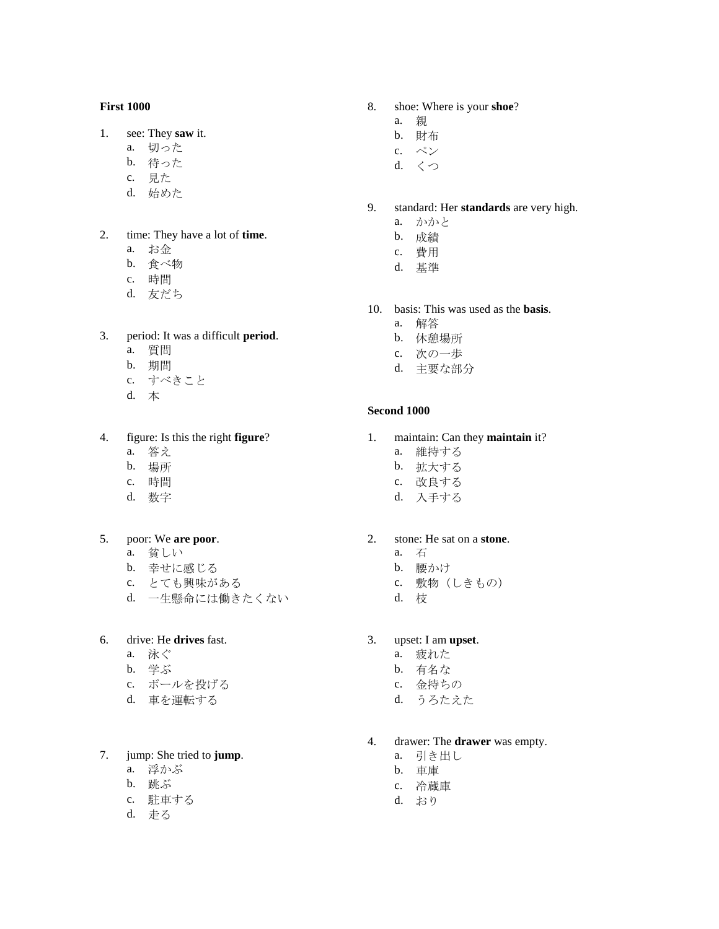### **First 1000**

- 1. see: They **saw** it.
	- a. 切った
	- b. 待った
	- c. 見た
	- d. 始めた
- 2. time: They have a lot of **time**.
	- a. お金
	- b. 食べ物
	- c. 時間
	- d. 友だち
- 3. period: It was a difficult **period**.
	- a. 質問
	- b. 期間
	- c. すべきこと
	- d. 本

### 4. figure: Is this the right **figure**?

- a. 答え
- b. 場所
- c. 時間
- d. 数字
- 5. poor: We **are poor**.
	- a. 貧しい
	- b. 幸せに感じる
	- c. とても興味がある
	- d. 一生懸命には働きたくない

# 6. drive: He **drives** fast.

- a. 泳ぐ
- b. 学ぶ
- c. ボールを投げる
- d. 車を運転する

# 7. jump: She tried to **jump**.

- a. 浮かぶ
- b. 跳ぶ
- c. 駐車する
- d. 走る
- 8. shoe: Where is your **shoe**?
	- a. 親
	- b. 財布
	- c. ペン
	- d. くつ
- 9. standard: Her **standards** are very high.
	- a. かかと
	- b. 成績
	- c. 費用
	- d. 基準
- 10. basis: This was used as the **basis**.
	- a. 解答
	- b. 休憩場所
	- c. 次の一歩
	- d. 主要な部分

#### **Second 1000**

- 1. maintain: Can they **maintain** it?
	- a. 維持する
	- b. 拡大する
	- c. 改良する
	- d. 入手する

# 2. stone: He sat on a **stone**.

- a. 石
- b. 腰かけ
- c. 敷物(しきもの)
- d. 枝

# 3. upset: I am **upset**.

- a. 疲れた
- b. 有名な
- c. 金持ちの
- d. うろたえた

### 4. drawer: The **drawer** was empty.

- a. 引き出し
- b. 車庫
- c. 冷蔵庫
- d. おり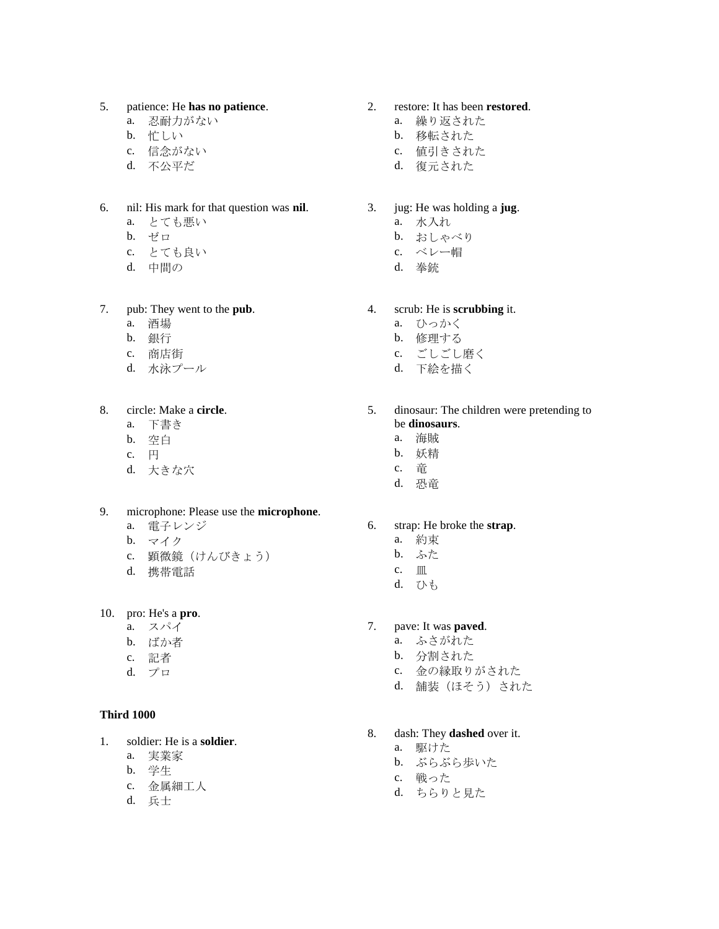#### 5. patience: He **has no patience**.

- a. 忍耐力がない
- b. 忙しい
- c. 信念がない
- d. 不公平だ
- 6. nil: His mark for that question was **nil**.
	- a. とても悪い
	- b. ゼロ
	- c. とても良い
	- d. 中間の

#### 7. pub: They went to the **pub**.

- a. 酒場
- b. 銀行
- c. 商店街
- d. 水泳プール
- 8. circle: Make a **circle**.
	- a. 下書き
	- b. 空白
	- c. 円
	- d. 大きな穴

#### 9. microphone: Please use the **microphone**.

- a. 電子レンジ
- b. マイク
- c. 顕微鏡(けんびきょう)
- d. 携帯電話
- 10. pro: He's a **pro**.
	- a. スパイ
	- b. ばか者
	- c. 記者
	- d. プロ

#### **Third 1000**

- 1. soldier: He is a **soldier**.
	- a. 実業家
	- b. 学生
	- c. 金属細工人
	- d. 兵士

### 2. restore: It has been **restored**.

- a. 繰り返された
- b. 移転された
- c. 値引きされた
- d. 復元された

#### 3. jug: He was holding a **jug**.

- a. 水入れ
- b. おしゃべり
- c. ベレー帽
- d. 拳銃

#### 4. scrub: He is **scrubbing** it.

- a. ひっかく
- b. 修理する
- c. ごしごし磨く
- d. 下絵を描く
- 5. dinosaur: The children were pretending to be **dinosaurs**.
	- a. 海賊
	- b. 妖精
	- c. 竜
	- d. 恐竜

#### 6. strap: He broke the **strap**.

- a. 約束
- b. ふた
- c.  $\blacksquare$
- d. ひも

### 7. pave: It was **paved**.

- a. ふさがれた
- b. 分割された
- c. 金の縁取りがされた
- d. 舗装(ほそう)された

#### 8. dash: They **dashed** over it.

- a. 駆けた
	- b. ぶらぶら歩いた
	- c. 戦った
	- d. ちらりと見た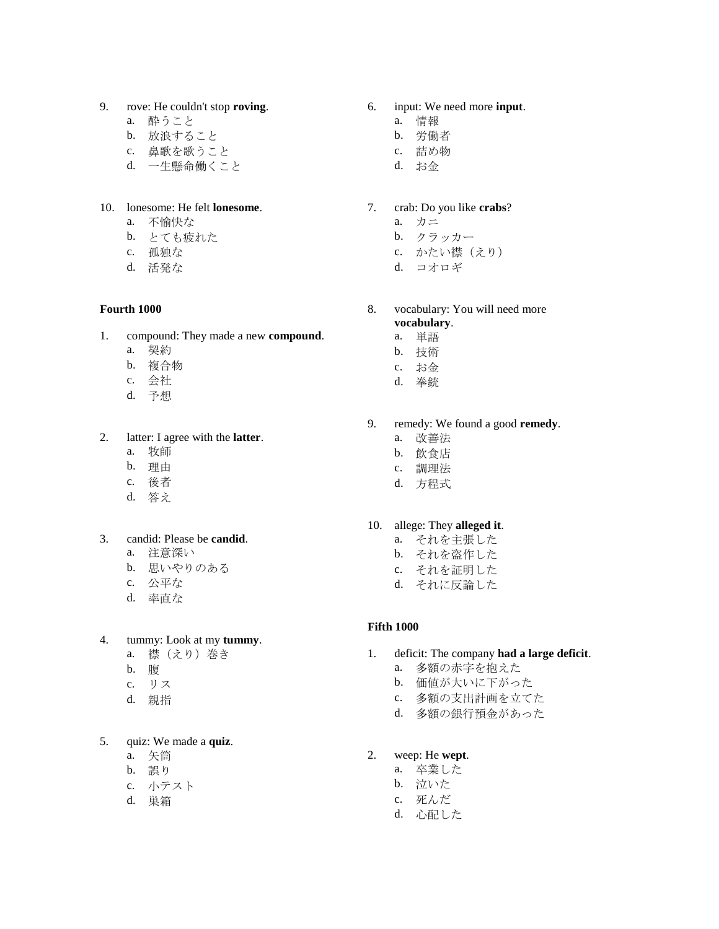- 9. rove: He couldn't stop **roving**.
	- a. 酔うこと
	- b. 放浪すること
	- c. 鼻歌を歌うこと
	- d. 一生懸命働くこと

### 10. lonesome: He felt **lonesome**.

- a. 不愉快な
- b. とても疲れた
- c. 孤独な
- d. 活発な

### **Fourth 1000**

- 1. compound: They made a new **compound**.
	- a. 契約
	- b. 複合物
	- c. 会社
	- d. 予想

### 2. latter: I agree with the **latter**.

- a. 牧師
- b. 理由
- c. 後者
- d. 答え

### 3. candid: Please be **candid**.

- a. 注意深い
- b. 思いやりのある
- c. 公平な
- d. 率直な

### 4. tummy: Look at my **tummy**.

- a. 襟(えり)巻き
- b. 腹
- c. リス
- d. 親指

# 5. quiz: We made a **quiz**.

- a. 矢筒
- b. 誤り
- c. 小テスト
- d. 巣箱

# 6. input: We need more **input**.

- a. 情報
- b. 労働者
- c. 詰め物
- d. お金

### 7. crab: Do you like **crabs**?

- a. カニ
- b. クラッカー
- c. かたい襟(えり)
- d. コオロギ
- 8. vocabulary: You will need more
	- **vocabulary**. a. 単語
	- b. 技術
	- c. お金
	- d. 拳銃
	-
- 9. remedy: We found a good **remedy**.
	- a. 改善法
	- b. 飲食店
	- c. 調理法
	- d. 方程式

### 10. allege: They **alleged it**.

- a. それを主張した
- b. それを盗作した
- c. それを証明した
- d. それに反論した

### **Fifth 1000**

- 1. deficit: The company **had a large deficit**.
	- a. 多額の赤字を抱えた
	- b. 価値が大いに下がった
	- c. 多額の支出計画を立てた
	- d. 多額の銀行預金があった

# 2. weep: He **wept**.

- a. 卒業した
- b. 泣いた
- c. 死んだ
- d. 心配した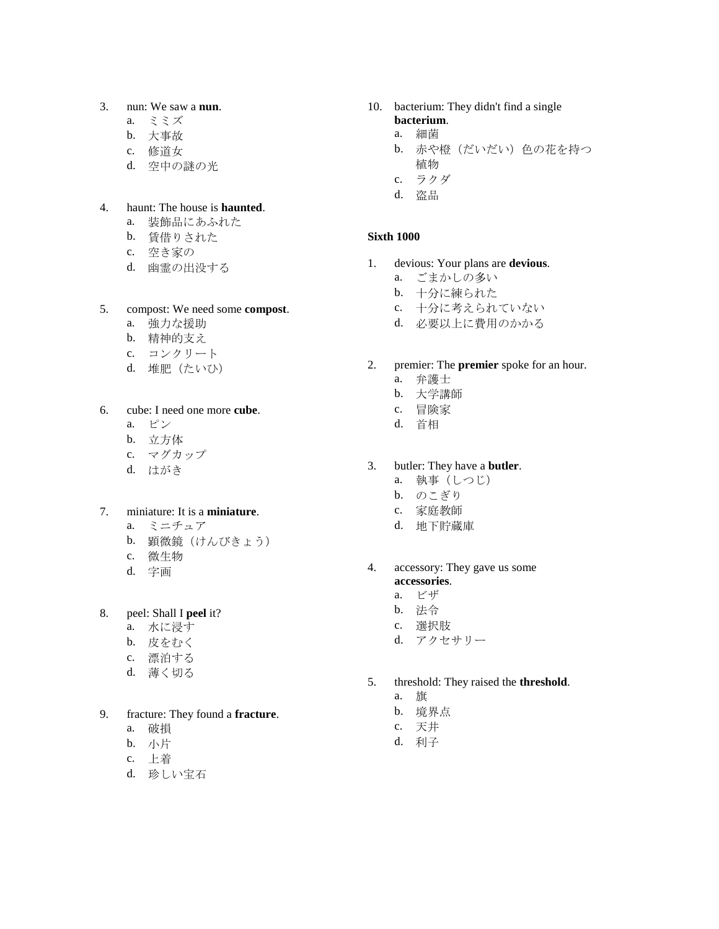# 3. nun: We saw a **nun**.

- a. ミミズ
- b. 大事故
- c. 修道女
- d. 空中の謎の光

### 4. haunt: The house is **haunted**.

- a. 装飾品にあふれた
- b. 賃借りされた
- c. 空き家の
- d. 幽霊の出没する

#### 5. compost: We need some **compost**.

- a. 強力な援助
- b. 精神的支え
- c. コンクリート
- d. 堆肥(たいひ)

### 6. cube: I need one more **cube**.

- a. ピン
- b. 立方体
- c. マグカップ
- d. はがき

# 7. miniature: It is a **miniature**.

- a. ミニチュア
- b. 顕微鏡(けんびきょう)
- c. 微生物
- d. 字画
- 8. peel: Shall I **peel** it?
	- a. 水に浸す
	- b. 皮をむく
	- c. 漂泊する
	- d. 薄く切る

### 9. fracture: They found a **fracture**.

- a. 破損
- b. 小片
- c. 上着
- d. 珍しい宝石

## 10. bacterium: They didn't find a single **bacterium**.

- a. 細菌
- b. 赤や橙(だいだい)色の花を持つ
- 植物
- c. ラクダ
- d. 盗品

### **Sixth 1000**

- 1. devious: Your plans are **devious**.
	- a. ごまかしの多い
	- b. 十分に練られた
	- c. 十分に考えられていない
	- d. 必要以上に費用のかかる
- 2. premier: The **premier** spoke for an hour.
	- a. 弁護士
	- b. 大学講師
	- c. 冒険家
	- d. 首相

# 3. butler: They have a **butler**.

- a. 執事(しつじ)
- b. のこぎり
- c. 家庭教師
- d. 地下貯蔵庫

## 4. accessory: They gave us some **accessories**.

- a. ビザ
- b. 法令
- c. 選択肢
- d. アクセサリー
- 5. threshold: They raised the **threshold**.
	- a. 旗
	- b. 境界点
	- c. 天井
	- d. 利子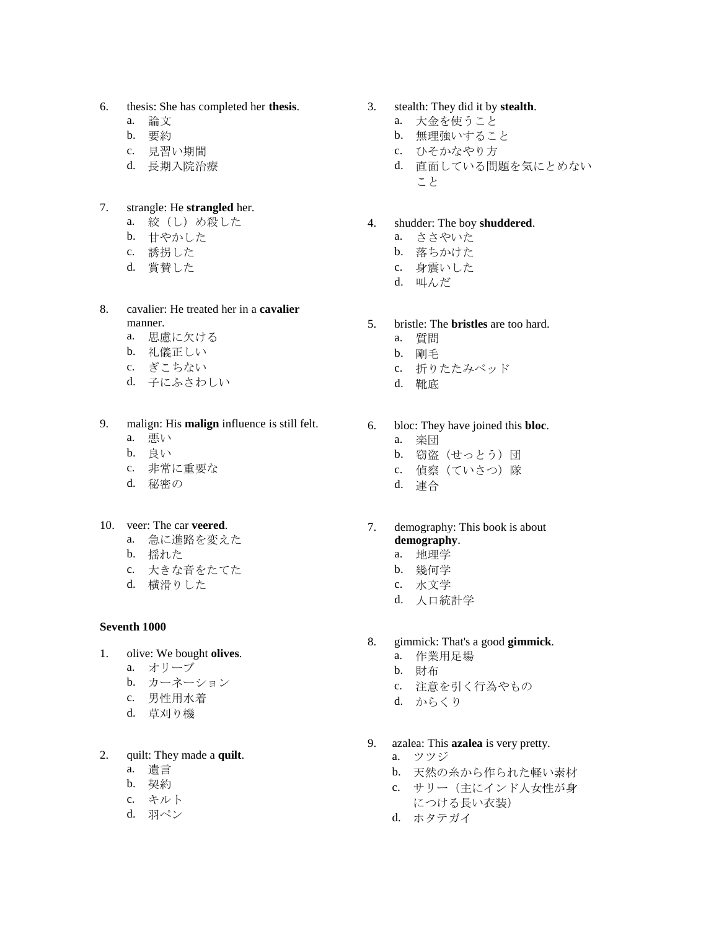- 6. thesis: She has completed her **thesis**.
	- a. 論文
	- b. 要約
	- c. 見習い期間
	- d. 長期入院治療

## 7. strangle: He **strangled** her.

- a. 絞(し)め殺した
- b. 甘やかした
- c. 誘拐した
- d. 賞賛した

#### 8. cavalier: He treated her in a **cavalier** manner.

- a. 思慮に欠ける
- b. 礼儀正しい
- c. ぎこちない
- d. 子にふさわしい

#### 9. malign: His **malign** influence is still felt. a. 悪い

- b. 良い
- c. 非常に重要な
- d. 秘密の
- 10. veer: The car **veered**.
	- a. 急に進路を変えた
	- b. 揺れた
	- c. 大きな音をたてた
	- d. 横滑りした

### **Seventh 1000**

- 1. olive: We bought **olives**.
	- a. オリーブ
	- b. カーネーション
	- c. 男性用水着
	- d. 草刈り機

# 2. quilt: They made a **quilt**.

- a. 遺言
- b. 契約
- c. キルト
- d. 羽ペン

# 3. stealth: They did it by **stealth**.

- a. 大金を使うこと
- b. 無理強いすること
- c. ひそかなやり方
- d. 直面している問題を気にとめない こと
- 4. shudder: The boy **shuddered**.
	- a. ささやいた
	- b. 落ちかけた
	- c. 身震いした
	- d. 叫んだ

# 5. bristle: The **bristles** are too hard.

- a. 質問
- b. 剛毛
- c. 折りたたみベッド
- d. 靴底

# 6. bloc: They have joined this **bloc**.

- a. 楽団
- b. 窃盗(せっとう)団
- c. 偵察(ていさつ)隊
- d. 連合

### 7. demography: This book is about **demography**.

- a. 地理学
- b. 幾何学
- c. 水文学
- d. 人口統計学

# 8. gimmick: That's a good **gimmick**.

- a. 作業用足場
- b. 財布
- c. 注意を引く行為やもの
- d. からくり
- 9. azalea: This **azalea** is very pretty.
	- a. ツツジ
	- b. 天然の糸から作られた軽い素材
	- c. サリー(主にインド人女性が身 につける長い衣装)
	- d. ホタテガイ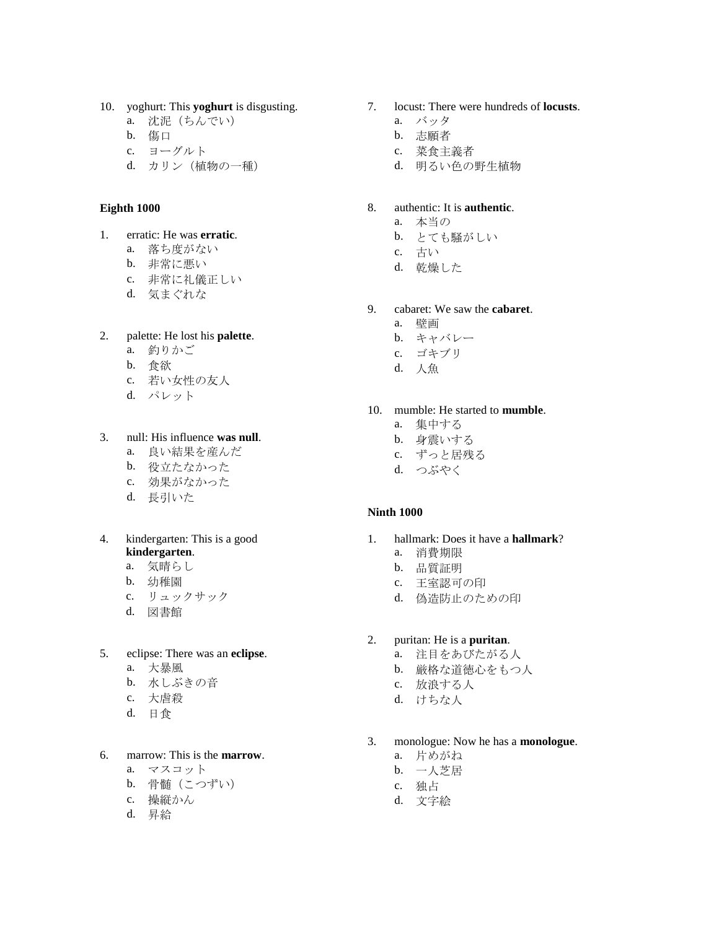- 10. yoghurt: This **yoghurt** is disgusting.
	- a. 沈泥(ちんでい)
	- b. 傷口
	- c. ヨーグルト
	- d. カリン(植物の一種)

#### **Eighth 1000**

- 1. erratic: He was **erratic**.
	- a. 落ち度がない
	- b. 非常に悪い
	- c. 非常に礼儀正しい
	- d. 気まぐれな

### 2. palette: He lost his **palette**.

- a. 釣りかご
- b. 食欲
- c. 若い女性の友人
- d. パレット

# 3. null: His influence **was null**.

- a. 良い結果を産んだ
- b. 役立たなかった
- c. 効果がなかった
- d. 長引いた
- 4. kindergarten: This is a good **kindergarten**.
	- a. 気晴らし
	- b. 幼稚園
	- c. リュックサック
	- d. 図書館

### 5. eclipse: There was an **eclipse**.

- a. 大暴風
- b. 水しぶきの音
- c. 大虐殺
- d. 日食

# 6. marrow: This is the **marrow**.

- a. マスコット
- b. 骨髄(こつずい)
- c. 操縦かん
- d. 昇給
- 7. locust: There were hundreds of **locusts**.
	- a. バッタ
	- b. 志願者
	- c. 菜食主義者
	- d. 明るい色の野生植物

## 8. authentic: It is **authentic**.

- a. 本当の
- b. とても騒がしい
- c. 古い
- d. 乾燥した
- 9. cabaret: We saw the **cabaret**.
	- a. 壁画
	- b. キャバレー
	- c. ゴキブリ
	- d. 人魚

### 10. mumble: He started to **mumble**.

- a. 集中する
- b. 身震いする
- c. ずっと居残る
- d. つぶやく

### **Ninth 1000**

- 1. hallmark: Does it have a **hallmark**?
	- a. 消費期限
	- b. 品質証明
	- c. 王室認可の印
	- d. 偽造防止のための印
- 2. puritan: He is a **puritan**.
	- a. 注目をあびたがる人
	- b. 厳格な道徳心をもつ人
	- c. 放浪する人
	- d. けちな人
- 3. monologue: Now he has a **monologue**.
	- a. 片めがね
	- b. 一人芝居
	- c. 独占
	- d. 文字絵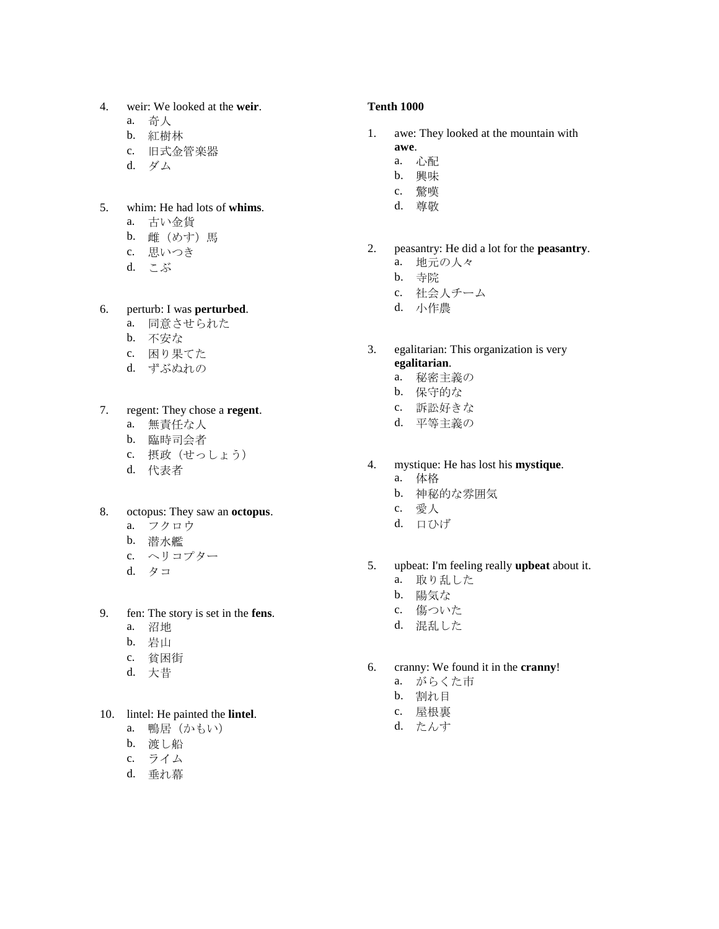- 4. weir: We looked at the **weir** .
	- a. 奇人
	- b. 紅樹林
	- c. 旧式金管楽器
	- d. ダム

#### 5. whim: He had lots of **whims** .

- a. 古い金貨
- b. 雌(めす) 馬
- c. 思いつき
- d. こぶ

### 6. perturb: I was **perturbed** .

- a. 同意させられた
- b. 不安な
- c. 困り果てた
- d. ずぶぬれの

7. regent: They chose a **regent** .

- a. 無責任な人
- b. 臨時司会者
- c. 摂政(せっしょう)
- d. 代表者

#### 8. octopus: They saw an **octopus** .

- a. フクロウ
- b. 潜水艦
- c. ヘリコプター
- d. タコ

### 9. fen: The story is set in the **fens** .

- a. 沼地
- b. 岩山
- c. 貧困街
- d. 大昔

### 10. lintel: He painted the **lintel** .

- a. 鴨居(かもい)
- b. 渡し船
- c. ライム
- d. 垂れ幕

#### **Tenth 1000**

- 1. awe: They looked at the mountain with **awe** .
	- a. 心配
	- b. 興味
	- c. 驚嘆
	- d. 尊敬
		-
- 2. peasantry: He did a lot for the **peasantry** . a. 地元の人々
	- b. 寺 院
	- c. 社会人チーム
	- d. 小作農
- 3. egalitarian: This organization is very **egalitarian** .
	- a. 秘密主義の
	- b. 保守的な
	- c. 訴訟好きな
	- d. 平等主義の
- 4. mystique: He has lost his **mystique** .
	- a. 体格
	- b. 神秘的な雰囲気
	- c. 愛人
	- d. 口ひげ
- 5. upbeat: I'm feeling really **upbeat** about it.
	- a. 取り乱した
	- b. 陽気な
	- c. 傷ついた
	- d. 混乱した
- 6. cranny: We found it in the **cranny** !
	- a. がらくた市
	- b. 割れ目
	- c. 屋根裏
	- d. たんす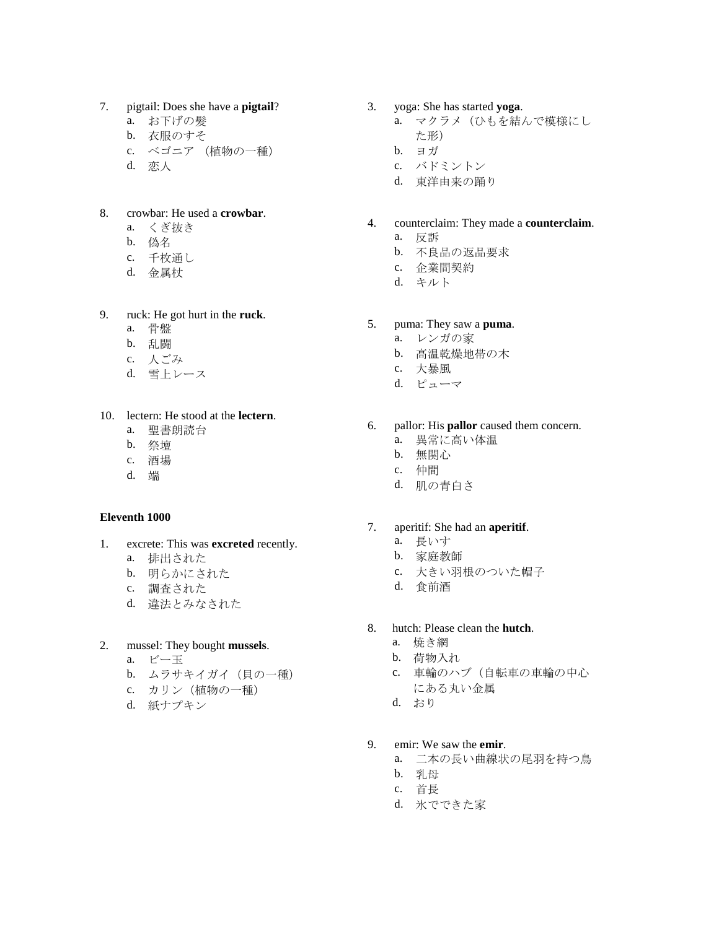- 7. pigtail: Does she have a **pigtail**?
	- a. お下げの髪
	- b. 衣服のすそ
	- c. ベゴニア (植物の一種)
	- d. 恋人

#### 8. crowbar: He used a **crowbar**.

- a. くぎ抜き
- b. 偽名
- c. 千枚通し
- d. 金属杖

### 9. ruck: He got hurt in the **ruck**.

- a. 骨盤
- b. 乱闘
- c. 人ごみ
- d. 雪上レース
- 10. lectern: He stood at the **lectern**.
	- a. 聖書朗読台
	- b. 祭壇
	- c. 酒場
	- d. 端

#### **Eleventh 1000**

- 1. excrete: This was **excreted** recently.
	- a. 排出された
	- b. 明らかにされた
	- c. 調査された
	- d. 違法とみなされた

# 2. mussel: They bought **mussels**.

- a. ビー玉
- b. ムラサキイガイ (貝の一種)
- c. カリン(植物の一種)
- d. 紙ナプキン
- 3. yoga: She has started **yoga**.
	- a. マクラメ(ひもを結んで模様にし た形)
	- b. ヨガ
	- c. バドミントン
	- d. 東洋由来の踊り
- 4. counterclaim: They made a **counterclaim**.
	- a. 反訴
	- b. 不良品の返品要求
	- c. 企業間契約
	- d. キルト

# 5. puma: They saw a **puma**.

- a. レンガの家
- b. 高温乾燥地帯の木
- c. 大暴風
- d. ピューマ
- 6. pallor: His **pallor** caused them concern.
	- a. 異常に高い体温
	- b. 無関心
	- c. 仲間
	- d. 肌の青白さ

#### 7. aperitif: She had an **aperitif**.

- a. 長いす
- b. 家庭教師
- c. 大きい羽根のついた帽子
- d. 食前酒
- 8. hutch: Please clean the **hutch**.
	- a. 焼き網
	- b. 荷物入れ
	- c. 車輪のハブ(自転車の車輪の中心 にある丸い金属
	- d. おり
- 9. emir: We saw the **emir**.
	- a. 二本の長い曲線状の尾羽を持つ鳥
	- b. 乳母
	- c. 首長
	- d. 氷でできた家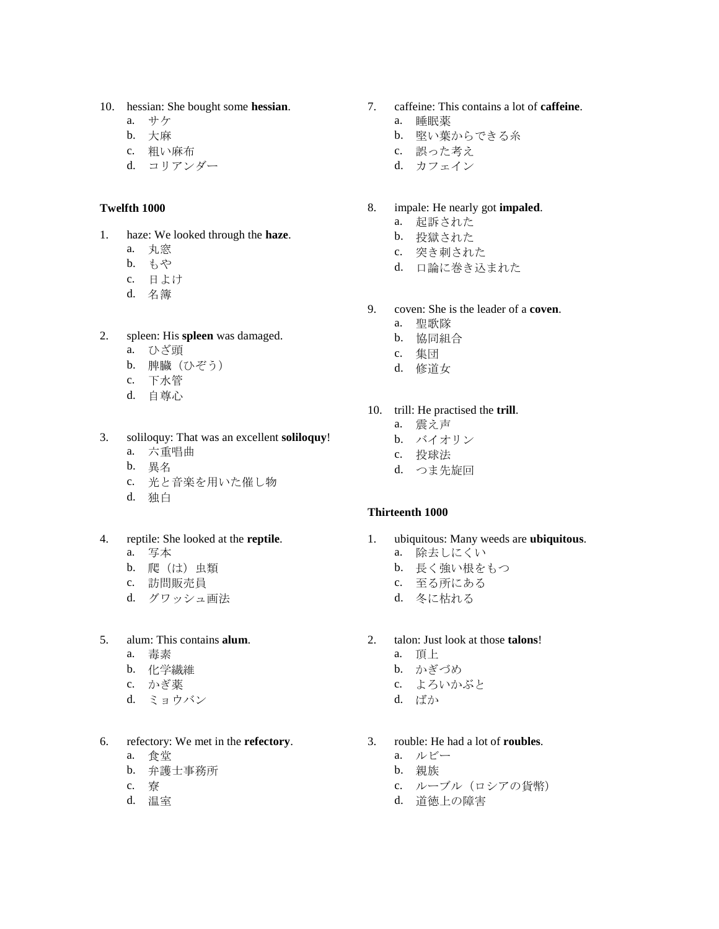- 10. hessian: She bought some **hessian**.
	- a. サケ
	- b. 大麻
	- c. 粗い麻布
	- d. コリアンダー

#### **Twelfth 1000**

- 1. haze: We looked through the **haze**.
	- a. 丸窓
	- b. もや
	- c. 日よけ
	- d. 名簿
- 2. spleen: His **spleen** was damaged.
	- a. ひざ頭
	- b. 脾臓(ひぞう)
	- c. 下水管
	- d. 自尊心
- 3. soliloquy: That was an excellent **soliloquy**!
	- a. 六重唱曲
	- b. 異名
	- c. 光と音楽を用いた催し物
	- d. 独白
- 4. reptile: She looked at the **reptile**. a. 写本
	-
	- b. 爬(は)虫類
	- c. 訪問販売員
	- d. グワッシュ画法
- 5. alum: This contains **alum**.
	- a. 毒素
	- b. 化学繊維
	- c. かぎ薬
	- d. ミョウバン
- 6. refectory: We met in the **refectory**.
	- a. 食堂
	- b. 弁護士事務所
	- c. 寮
	- d. 温室
- 7. caffeine: This contains a lot of **caffeine**.
	- a. 睡眠薬
	- b. 堅い葉からできる糸
	- c. 誤った考え
	- d. カフェイン

### 8. impale: He nearly got **impaled**.

- a. 起訴された
- b. 投獄された
- c. 突き刺された
- d. 口論に巻き込まれた
- 9. coven: She is the leader of a **coven**.
	- a. 聖歌隊
	- b. 協同組合
	- c. 集団
	- d. 修道女

10. trill: He practised the **trill**.

- a. 震え声
- b. バイオリン
- c. 投球法
- d. つま先旋回

### **Thirteenth 1000**

- 1. ubiquitous: Many weeds are **ubiquitous**.
	- a. 除去しにくい
	- b. 長く強い根をもつ
	- c. 至る所にある
	- d. 冬に枯れる

### 2. talon: Just look at those **talons**!

- a. 頂上
- b. かぎづめ
- c. よろいかぶと
- d. ばか
- 3. rouble: He had a lot of **roubles**.
	- a. ルビー
	- b. 親族
	- c. ルーブル (ロシアの貨幣)
	- d. 道徳上の障害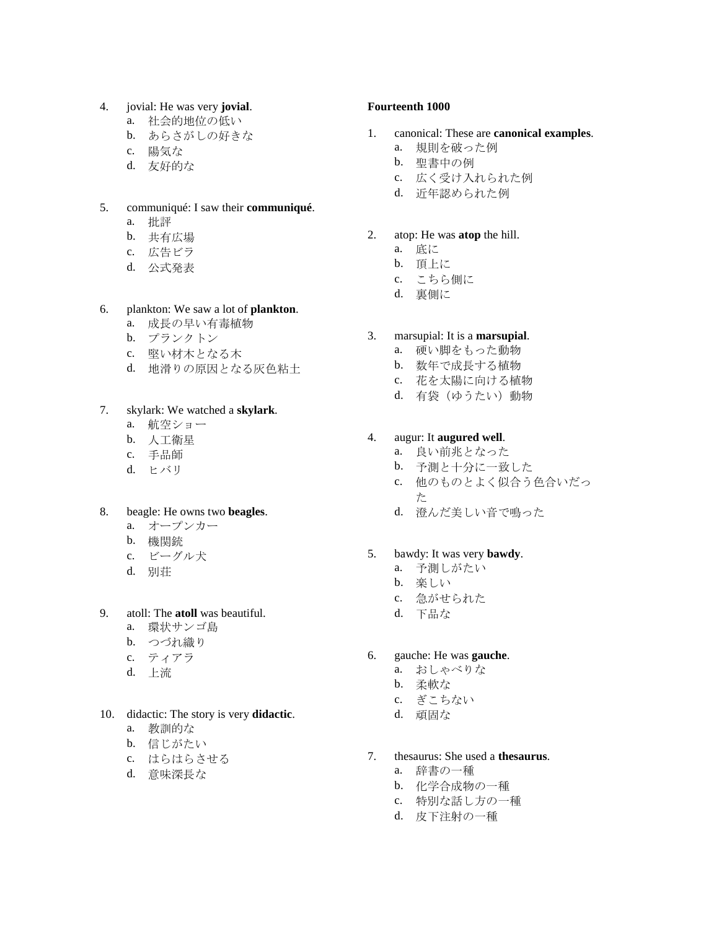### 4. jovial: He was very **jovial**.

- a. 社会的地位の低い
- b. あらさがしの好きな
- c. 陽気な
- d. 友好的な

### 5. communiqué: I saw their **communiqué**.

- a. 批評
- b. 共有広場
- c. 広告ビラ
- d. 公式発表

### 6. plankton: We saw a lot of **plankton**.

- a. 成長の早い有毒植物
- b. プランクトン
- c. 堅い材木となる木
- d. 地滑りの原因となる灰色粘土

### 7. skylark: We watched a **skylark**.

- a. 航空ショー
- b. 人工衛星
- c. 手品師
- d. ヒバリ

### 8. beagle: He owns two **beagles**.

- a. オープンカー
- b. 機関銃
- c. ビーグル犬
- d. 別荘

# 9. atoll: The **atoll** was beautiful.

- a. 環状サンゴ島
- b. つづれ織り
- c. ティアラ
- d. 上流

### 10. didactic: The story is very **didactic**.

- a. 教訓的な
- b. 信じがたい
- c. はらはらさせる
- d. 意味深長な

#### **Fourteenth 1000**

- 1. canonical: These are **canonical examples**.
	- a. 規則を破った例
	- b. 聖書中の例
	- c. 広く受け入れられた例
	- d. 近年認められた例

#### 2. atop: He was **atop** the hill.

- a. 底に
- **b.** 頂上に
- c. こちら側に
- d. 裏側に

### 3. marsupial: It is a **marsupial**.

- a. 硬い脚をもった動物
- b. 数年で成長する植物
- c. 花を太陽に向ける植物
- d. 有袋(ゆうたい)動物

### 4. augur: It **augured well**.

- a. 良い前兆となった
- b. 予測と十分に一致した
- c. 他のものとよく似合う色合いだっ た
- d. 澄んだ美しい音で鳴った

### 5. bawdy: It was very **bawdy**.

- a. 予測しがたい
- b. 楽しい
- c. 急がせられた
- d. 下品な

# 6. gauche: He was **gauche**.

- a. おしゃべりな
- b. 柔軟な
- c. ぎこちない
- d. 頑固な
- 7. thesaurus: She used a **thesaurus**.
	- a. 辞書の一種
	- b. 化学合成物の一種
	- c. 特別な話し方の一種
	- d. 皮下注射の一種